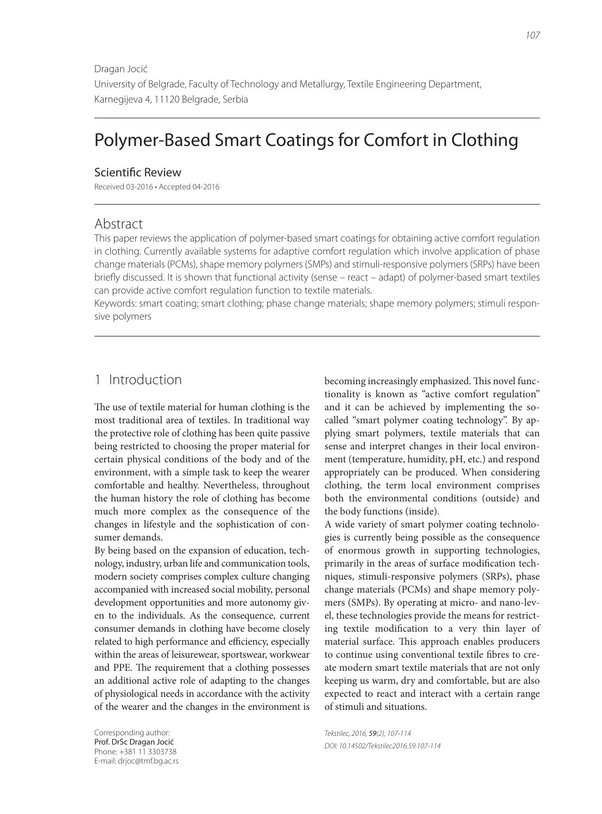Dragan Jocić University of Belgrade, Faculty of Technology and Metallurgy, Textile Engineering Department, Karnegijeva 4, 11120 Belgrade, Serbia

# Polymer-Based Smart Coatings for Comfort in Clothing

### Scientific Review

Received 03-2016 • Accepted 04-2016

### Abstract

This paper reviews the application of polymer-based smart coatings for obtaining active comfort regulation in clothing. Currently available systems for adaptive comfort regulation which involve application of phase change materials (PCMs), shape memory polymers (SMPs) and stimuli-responsive polymers (SRPs) have been briefly discussed. It is shown that functional activity (sense – react – adapt) of polymer-based smart textiles can provide active comfort regulation function to textile materials.

Keywords: smart coating; smart clothing; phase change materials; shape memory polymers; stimuli responsive polymers

### 1 Introduction

The use of textile material for human clothing is the most traditional area of textiles. In traditional way the protective role of clothing has been quite passive being restricted to choosing the proper material for certain physical conditions of the body and of the environment, with a simple task to keep the wearer comfortable and healthy. Nevertheless, throughout the human history the role of clothing has become much more complex as the consequence of the changes in lifestyle and the sophistication of consumer demands.

By being based on the expansion of education, technology, industry, urban life and communication tools, modern society comprises complex culture changing accompanied with increased social mobility, personal development opportunities and more autonomy given to the individuals. As the consequence, current consumer demands in clothing have become closely related to high performance and efficiency, especially within the areas of leisurewear, sportswear, workwear and PPE. The requirement that a clothing possesses an additional active role of adapting to the changes of physiological needs in accordance with the activity of the wearer and the changes in the environment is

Corresponding author: Prof. DrSc Dragan Jocić Phone: +381 11 3303738 E-mail: drjoc@tmf.bg.ac.rs becoming increasingly emphasized. This novel functionality is known as "active comfort regulation" and it can be achieved by implementing the socalled "smart polymer coating technology". By applying smart polymers, textile materials that can sense and interpret changes in their local environment (temperature, humidity, pH, etc.) and respond appropriately can be produced. When considering clothing, the term local environment comprises both the environmental conditions (outside) and the body functions (inside).

A wide variety of smart polymer coating technologies is currently being possible as the consequence of enormous growth in supporting technologies, primarily in the areas of surface modification techniques, stimuli-responsive polymers (SRPs), phase change materials (PCMs) and shape memory polymers (SMPs). By operating at micro- and nano-level, these technologies provide the means for restricting textile modification to a very thin layer of material surface. This approach enables producers to continue using conventional textile fibres to create modern smart textile materials that are not only keeping us warm, dry and comfortable, but are also expected to react and interact with a certain range of stimuli and situations.

Tekstilec, 2016, 59(2), 107-114 DOI: 10.14502/Tekstilec2016.59.107-114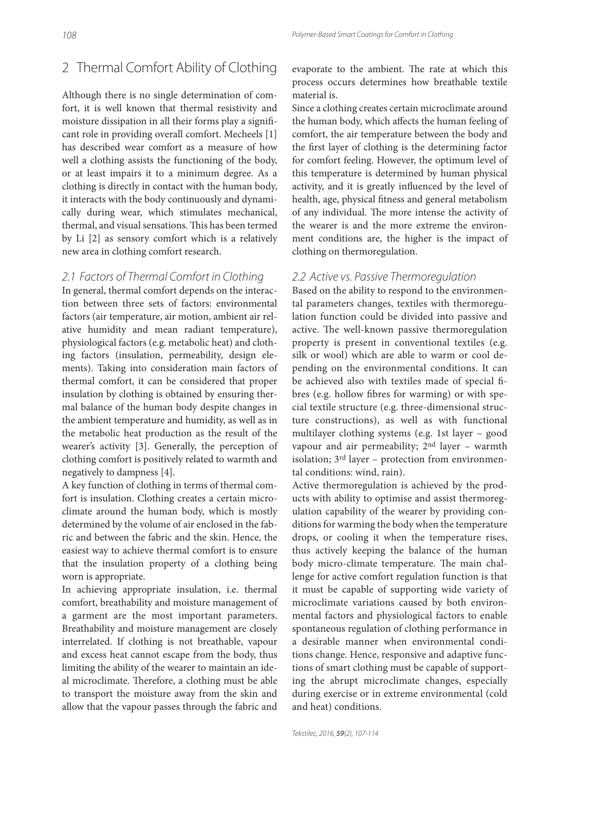## 2 Thermal Comfort Ability of Clothing

Although there is no single determination of comfort, it is well known that thermal resistivity and moisture dissipation in all their forms play a significant role in providing overall comfort. Mecheels [1] has described wear comfort as a measure of how well a clothing assists the functioning of the body, or at least impairs it to a minimum degree. As a clothing is directly in contact with the human body, it interacts with the body continuously and dynamically during wear, which stimulates mechanical, thermal, and visual sensations. This has been termed by Li [2] as sensory comfort which is a relatively new area in clothing comfort research.

### 2.1 Factors of Thermal Comfort in Clothing

In general, thermal comfort depends on the interaction between three sets of factors: environmental factors (air temperature, air motion, ambient air relative humidity and mean radiant temperature), physiological factors (e.g. metabolic heat) and clothing factors (insulation, permeability, design elements). Taking into consideration main factors of thermal comfort, it can be considered that proper insulation by clothing is obtained by ensuring thermal balance of the human body despite changes in the ambient temperature and humidity, as well as in the metabolic heat production as the result of the wearer's activity [3]. Generally, the perception of clothing comfort is positively related to warmth and negatively to dampness [4].

A key function of clothing in terms of thermal comfort is insulation. Clothing creates a certain microclimate around the human body, which is mostly determined by the volume of air enclosed in the fabric and between the fabric and the skin. Hence, the easiest way to achieve thermal comfort is to ensure that the insulation property of a clothing being worn is appropriate.

In achieving appropriate insulation, i.e. thermal comfort, breathability and moisture management of a garment are the most important parameters. Breathability and moisture management are closely interrelated. If clothing is not breathable, vapour and excess heat cannot escape from the body, thus limiting the ability of the wearer to maintain an ideal microclimate. Therefore, a clothing must be able to transport the moisture away from the skin and allow that the vapour passes through the fabric and

evaporate to the ambient. The rate at which this process occurs determines how breathable textile material is.

Since a clothing creates certain microclimate around the human body, which affects the human feeling of comfort, the air temperature between the body and the first layer of clothing is the determining factor for comfort feeling. However, the optimum level of this temperature is determined by human physical activity, and it is greatly influenced by the level of health, age, physical fitness and general metabolism of any individual. The more intense the activity of the wearer is and the more extreme the environment conditions are, the higher is the impact of clothing on thermoregulation.

### 2.2 Active vs. Passive Thermoregulation

Based on the ability to respond to the environmental parameters changes, textiles with thermoregulation function could be divided into passive and active. The well-known passive thermoregulation property is present in conventional textiles (e.g. silk or wool) which are able to warm or cool depending on the environmental conditions. It can be achieved also with textiles made of special fibres (e.g. hollow fibres for warming) or with special textile structure (e.g. three-dimensional structure constructions), as well as with functional multilayer clothing systems (e.g. 1st layer – good vapour and air permeability; 2nd layer – warmth isolation; 3rd layer – protection from environmental conditions: wind, rain).

Active thermoregulation is achieved by the products with ability to optimise and assist thermoregulation capability of the wearer by providing conditions for warming the body when the temperature drops, or cooling it when the temperature rises, thus actively keeping the balance of the human body micro-climate temperature. The main challenge for active comfort regulation function is that it must be capable of supporting wide variety of microclimate variations caused by both environmental factors and physiological factors to enable spontaneous regulation of clothing performance in a desirable manner when environmental conditions change. Hence, responsive and adaptive functions of smart clothing must be capable of supporting the abrupt microclimate changes, especially during exercise or in extreme environmental (cold and heat) conditions.

Tekstilec, 2016, 59(2), 107-114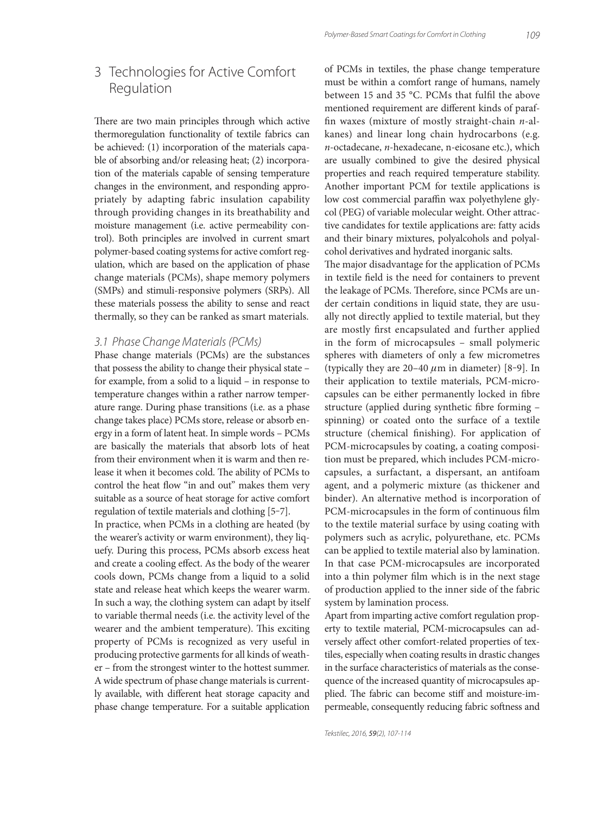## 3 Technologies for Active Comfort Regulation

There are two main principles through which active thermoregulation functionality of textile fabrics can be achieved: (1) incorporation of the materials capable of absorbing and/or releasing heat; (2) incorporation of the materials capable of sensing temperature changes in the environment, and responding appropriately by adapting fabric insulation capability through providing changes in its breathability and moisture management (i.e. active permeability control). Both principles are involved in current smart polymer-based coating systems for active comfort regulation, which are based on the application of phase change materials (PCMs), shape memory polymers (SMPs) and stimuli-responsive polymers (SRPs). All these materials possess the ability to sense and react thermally, so they can be ranked as smart materials.

### 3.1 Phase Change Materials (PCMs)

Phase change materials (PCMs) are the substances that possess the ability to change their physical state – for example, from a solid to a liquid – in response to temperature changes within a rather narrow temperature range. During phase transitions (i.e. as a phase change takes place) PCMs store, release or absorb energy in a form of latent heat. In simple words – PCMs are basically the materials that absorb lots of heat from their environment when it is warm and then release it when it becomes cold. The ability of PCMs to control the heat flow "in and out" makes them very suitable as a source of heat storage for active comfort regulation of textile materials and clothing [5‒7].

In practice, when PCMs in a clothing are heated (by the wearer's activity or warm environment), they liquefy. During this process, PCMs absorb excess heat and create a cooling effect. As the body of the wearer cools down, PCMs change from a liquid to a solid state and release heat which keeps the wearer warm. In such a way, the clothing system can adapt by itself to variable thermal needs (i.e. the activity level of the wearer and the ambient temperature). This exciting property of PCMs is recognized as very useful in producing protective garments for all kinds of weather – from the strongest winter to the hottest summer. A wide spectrum of phase change materials is currently available, with different heat storage capacity and phase change temperature. For a suitable application

of PCMs in textiles, the phase change temperature must be within a comfort range of humans, namely between 15 and 35 °C. PCMs that fulfil the above mentioned requirement are different kinds of paraffin waxes (mixture of mostly straight-chain  $n$ -alkanes) and linear long chain hydrocarbons (e.g. n-octadecane, n-hexadecane, n-eicosane etc.), which are usually combined to give the desired physical properties and reach required temperature stability. Another important PCM for textile applications is low cost commercial paraffin wax polyethylene glycol (PEG) of variable molecular weight. Other attractive candidates for textile applications are: fatty acids and their binary mixtures, polyalcohols and polyalcohol derivatives and hydrated inorganic salts.

The major disadvantage for the application of PCMs in textile field is the need for containers to prevent the leakage of PCMs. Therefore, since PCMs are under certain conditions in liquid state, they are usually not directly applied to textile material, but they are mostly first encapsulated and further applied in the form of microcapsules – small polymeric spheres with diameters of only a few micrometres (typically they are  $20-40 \mu m$  in diameter) [8-9]. In their application to textile materials, PCM-microcapsules can be either permanently locked in fibre structure (applied during synthetic fibre forming spinning) or coated onto the surface of a textile structure (chemical finishing). For application of PCM-microcapsules by coating, a coating composition must be prepared, which includes PCM-microcapsules, a surfactant, a dispersant, an antifoam agent, and a polymeric mixture (as thickener and binder). An alternative method is incorporation of PCM-microcapsules in the form of continuous film to the textile material surface by using coating with polymers such as acrylic, polyurethane, etc. PCMs can be applied to textile material also by lamination. In that case PCM-microcapsules are incorporated into a thin polymer film which is in the next stage of production applied to the inner side of the fabric system by lamination process.

Apart from imparting active comfort regulation property to textile material, PCM-microcapsules can adversely affect other comfort-related properties of textiles, especially when coating results in drastic changes in the surface characteristics of materials as the consequence of the increased quantity of microcapsules applied. The fabric can become stiff and moisture-impermeable, consequently reducing fabric softness and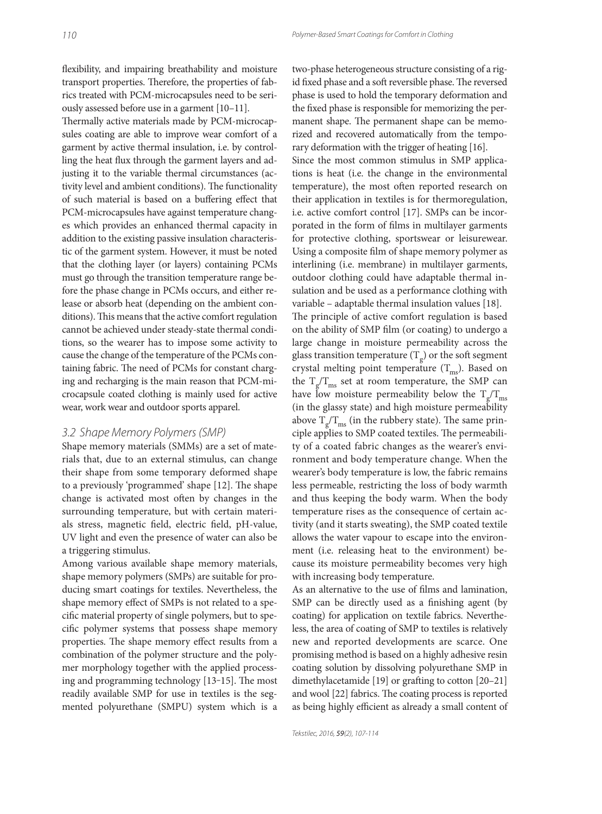flexibility, and impairing breathability and moisture transport properties. Therefore, the properties of fabrics treated with PCM-microcapsules need to be seriously assessed before use in a garment [10–11].

Thermally active materials made by PCM-microcapsules coating are able to improve wear comfort of a garment by active thermal insulation, i.e. by controlling the heat flux through the garment layers and adjusting it to the variable thermal circumstances (activity level and ambient conditions). The functionality of such material is based on a buffering effect that PCM-microcapsules have against temperature changes which provides an enhanced thermal capacity in addition to the existing passive insulation characteristic of the garment system. However, it must be noted that the clothing layer (or layers) containing PCMs must go through the transition temperature range before the phase change in PCMs occurs, and either release or absorb heat (depending on the ambient conditions). This means that the active comfort regulation cannot be achieved under steady-state thermal conditions, so the wearer has to impose some activity to cause the change of the temperature of the PCMs containing fabric. The need of PCMs for constant charging and recharging is the main reason that PCM-microcapsule coated clothing is mainly used for active wear, work wear and outdoor sports apparel.

#### 3.2 Shape Memory Polymers (SMP)

Shape memory materials (SMMs) are a set of materials that, due to an external stimulus, can change their shape from some temporary deformed shape to a previously 'programmed' shape [12]. The shape change is activated most often by changes in the surrounding temperature, but with certain materials stress, magnetic field, electric field, pH-value, UV light and even the presence of water can also be a triggering stimulus.

Among various available shape memory materials, shape memory polymers (SMPs) are suitable for producing smart coatings for textiles. Nevertheless, the shape memory effect of SMPs is not related to a specific material property of single polymers, but to specific polymer systems that possess shape memory properties. The shape memory effect results from a combination of the polymer structure and the polymer morphology together with the applied processing and programming technology  $[13-15]$ . The most readily available SMP for use in textiles is the segmented polyurethane (SMPU) system which is a two-phase heterogeneous structure consisting of a rigid fixed phase and a soft reversible phase. The reversed phase is used to hold the temporary deformation and the fixed phase is responsible for memorizing the permanent shape. The permanent shape can be memorized and recovered automatically from the temporary deformation with the trigger of heating [16].

Since the most common stimulus in SMP applications is heat (i.e. the change in the environmental temperature), the most often reported research on their application in textiles is for thermoregulation, i.e. active comfort control [17]. SMPs can be incorporated in the form of films in multilayer garments for protective clothing, sportswear or leisurewear. Using a composite film of shape memory polymer as interlining (i.e. membrane) in multilayer garments, outdoor clothing could have adaptable thermal insulation and be used as a performance clothing with variable – adaptable thermal insulation values [18].

The principle of active comfort regulation is based on the ability of SMP film (or coating) to undergo a large change in moisture permeability across the glass transition temperature  $(T<sub>o</sub>)$  or the soft segment crystal melting point temperature  $(T_{\text{ms}})$ . Based on the  $T_p/T_{\text{ms}}$  set at room temperature, the SMP can have low moisture permeability below the  $T_g/T_{\text{ms}}$ (in the glassy state) and high moisture permeability above  $T_p/T_{\text{ms}}$  (in the rubbery state). The same principle applies to SMP coated textiles. The permeability of a coated fabric changes as the wearer's environment and body temperature change. When the wearer's body temperature is low, the fabric remains less permeable, restricting the loss of body warmth and thus keeping the body warm. When the body temperature rises as the consequence of certain activity (and it starts sweating), the SMP coated textile allows the water vapour to escape into the environment (i.e. releasing heat to the environment) because its moisture permeability becomes very high with increasing body temperature.

As an alternative to the use of films and lamination, SMP can be directly used as a finishing agent (by coating) for application on textile fabrics. Nevertheless, the area of coating of SMP to textiles is relatively new and reported developments are scarce. One promising method is based on a highly adhesive resin coating solution by dissolving polyurethane SMP in dimethylacetamide  $[19]$  or grafting to cotton  $[20-21]$ and wool [22] fabrics. The coating process is reported as being highly efficient as already a small content of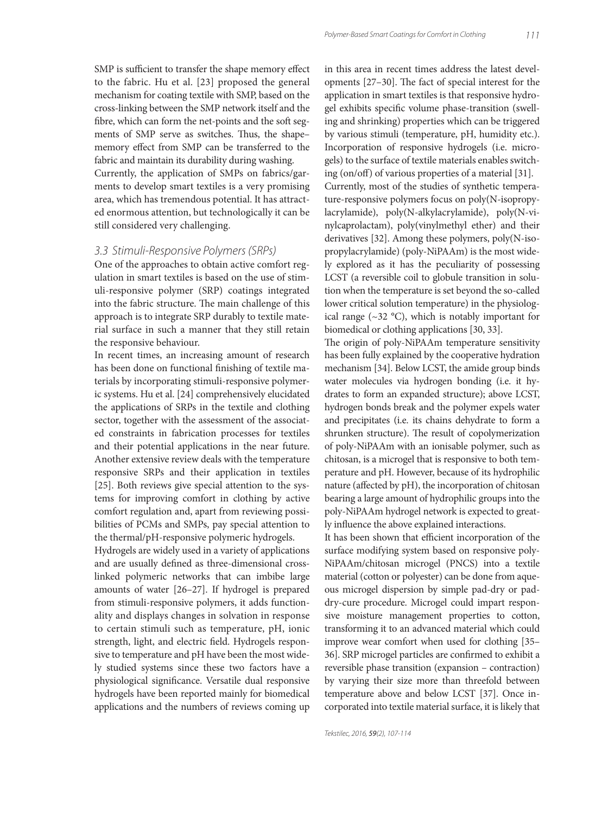SMP is sufficient to transfer the shape memory effect to the fabric. Hu et al. [23] proposed the general mechanism for coating textile with SMP, based on the cross-linking between the SMP network itself and the fibre, which can form the net-points and the soft segments of SMP serve as switches. Thus, the shapememory effect from SMP can be transferred to the fabric and maintain its durability during washing. Currently, the application of SMPs on fabrics/garments to develop smart textiles is a very promising area, which has tremendous potential. It has attracted enormous attention, but technologically it can be still considered very challenging.

### 3.3 Stimuli-Responsive Polymers (SRPs)

One of the approaches to obtain active comfort regulation in smart textiles is based on the use of stimuli-responsive polymer (SRP) coatings integrated into the fabric structure. The main challenge of this approach is to integrate SRP durably to textile material surface in such a manner that they still retain the responsive behaviour.

In recent times, an increasing amount of research has been done on functional finishing of textile materials by incorporating stimuli-responsive polymeric systems. Hu et al. [24] comprehensively elucidated the applications of SRPs in the textile and clothing sector, together with the assessment of the associated constraints in fabrication processes for textiles and their potential applications in the near future. Another extensive review deals with the temperature responsive SRPs and their application in textiles [25]. Both reviews give special attention to the systems for improving comfort in clothing by active comfort regulation and, apart from reviewing possibilities of PCMs and SMPs, pay special attention to the thermal/pH-responsive polymeric hydrogels.

Hydrogels are widely used in a variety of applications and are usually defined as three-dimensional crosslinked polymeric networks that can imbibe large amounts of water [26–27]. If hydrogel is prepared from stimuli-responsive polymers, it adds functionality and displays changes in solvation in response to certain stimuli such as temperature, pH, ionic strength, light, and electric field. Hydrogels responsive to temperature and pH have been the most widely studied systems since these two factors have a physiological significance. Versatile dual responsive hydrogels have been reported mainly for biomedical applications and the numbers of reviews coming up in this area in recent times address the latest developments  $[27-30]$ . The fact of special interest for the application in smart textiles is that responsive hydrogel exhibits specific volume phase-transition (swelling and shrinking) properties which can be triggered by various stimuli (temperature, pH, humidity etc.). Incorporation of responsive hydrogels (i.e. microgels) to the surface of textile materials enables switching (on/off) of various properties of a material  $[31]$ . Currently, most of the studies of synthetic temperature-responsive polymers focus on poly(N-isopropylacrylamide), poly(N-alkylacrylamide), poly(N-vinylcaprolactam), poly(vinylmethyl ether) and their derivatives [32]. Among these polymers, poly(N-isopropylacrylamide) (poly-NiPAAm) is the most widely explored as it has the peculiarity of possessing LCST (a reversible coil to globule transition in solution when the temperature is set beyond the so-called lower critical solution temperature) in the physiological range (~32 °C), which is notably important for biomedical or clothing applications [30, 33].

The origin of poly-NiPAAm temperature sensitivity has been fully explained by the cooperative hydration mechanism [34]. Below LCST, the amide group binds water molecules via hydrogen bonding (i.e. it hydrates to form an expanded structure); above LCST, hydrogen bonds break and the polymer expels water and precipitates (i.e. its chains dehydrate to form a shrunken structure). The result of copolymerization of poly-NiPAAm with an ionisable polymer, such as chitosan, is a microgel that is responsive to both temperature and pH. However, because of its hydrophilic nature (affected by pH), the incorporation of chitosan bearing a large amount of hydrophilic groups into the poly-NiPAAm hydrogel network is expected to greatly influence the above explained interactions.

It has been shown that efficient incorporation of the surface modifying system based on responsive poly-NiPAAm/chitosan microgel (PNCS) into a textile material (cotton or polyester) can be done from aqueous microgel dispersion by simple pad-dry or paddry-cure procedure. Microgel could impart responsive moisture management properties to cotton, transforming it to an advanced material which could improve wear comfort when used for clothing [35– 36]. SRP microgel particles are confirmed to exhibit a reversible phase transition (expansion – contraction) by varying their size more than threefold between temperature above and below LCST [37]. Once incorporated into textile material surface, it is likely that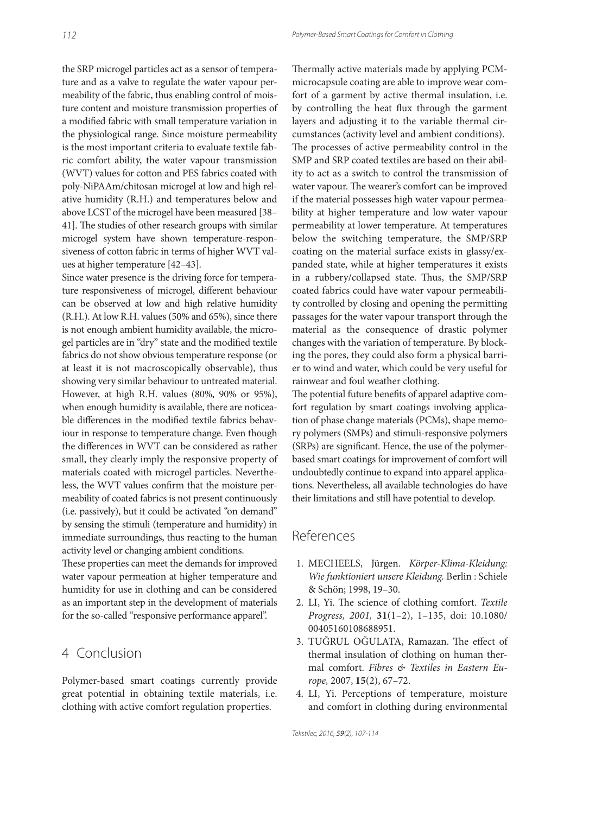the SRP microgel particles act as a sensor of temperature and as a valve to regulate the water vapour permeability of the fabric, thus enabling control of moisture content and moisture transmission properties of a modified fabric with small temperature variation in the physiological range. Since moisture permeability is the most important criteria to evaluate textile fabric comfort ability, the water vapour transmission (WVT) values for cotton and PES fabrics coated with poly-NiPAAm/chitosan microgel at low and high relative humidity (R.H.) and temperatures below and above LCST of the microgel have been measured [38– 41]. The studies of other research groups with similar microgel system have shown temperature-responsiveness of cotton fabric in terms of higher WVT values at higher temperature [42–43].

Since water presence is the driving force for temperature responsiveness of microgel, different behaviour can be observed at low and high relative humidity (R.H.). At low R.H. values (50% and 65%), since there is not enough ambient humidity available, the microgel particles are in "dry" state and the modified textile fabrics do not show obvious temperature response (or at least it is not macroscopically observable), thus showing very similar behaviour to untreated material. However, at high R.H. values (80%, 90% or 95%), when enough humidity is available, there are noticeable differences in the modified textile fabrics behaviour in response to temperature change. Even though the differences in WVT can be considered as rather small, they clearly imply the responsive property of materials coated with microgel particles. Nevertheless, the WVT values confirm that the moisture permeability of coated fabrics is not present continuously (i.e. passively), but it could be activated ''on demand'' by sensing the stimuli (temperature and humidity) in immediate surroundings, thus reacting to the human activity level or changing ambient conditions.

These properties can meet the demands for improved water vapour permeation at higher temperature and humidity for use in clothing and can be considered as an important step in the development of materials for the so-called "responsive performance apparel".

## 4 Conclusion

Polymer-based smart coatings currently provide great potential in obtaining textile materials, i.e. clothing with active comfort regulation properties.

Thermally active materials made by applying PCMmicrocapsule coating are able to improve wear comfort of a garment by active thermal insulation, i.e. by controlling the heat flux through the garment layers and adjusting it to the variable thermal circumstances (activity level and ambient conditions). The processes of active permeability control in the SMP and SRP coated textiles are based on their ability to act as a switch to control the transmission of water vapour. The wearer's comfort can be improved if the material possesses high water vapour permeability at higher temperature and low water vapour permeability at lower temperature. At temperatures below the switching temperature, the SMP/SRP coating on the material surface exists in glassy/expanded state, while at higher temperatures it exists in a rubbery/collapsed state. Thus, the SMP/SRP coated fabrics could have water vapour permeability controlled by closing and opening the permitting passages for the water vapour transport through the material as the consequence of drastic polymer changes with the variation of temperature. By blocking the pores, they could also form a physical barrier to wind and water, which could be very useful for rainwear and foul weather clothing.

The potential future benefits of apparel adaptive comfort regulation by smart coatings involving application of phase change materials (PCMs), shape memory polymers (SMPs) and stimuli-responsive polymers (SRPs) are significant. Hence, the use of the polymerbased smart coatings for improvement of comfort will undoubtedly continue to expand into apparel applications. Nevertheless, all available technologies do have their limitations and still have potential to develop.

### References

- 1. MECHEELS, Jürgen. Körper-Klima-Kleidung: Wie funktioniert unsere Kleidung. Berlin : Schiele & Schön; 1998, 19–30.
- 2. LI, Yi. The science of clothing comfort. Textile Progress, 2001, **31**(1–2), 1–135, doi: 10.1080/ 00405160108688951.
- 3. TUĞRUL OĞULATA, Ramazan. The effect of thermal insulation of clothing on human thermal comfort. Fibres & Textiles in Eastern Europe, 2007, **15**(2), 67–72.
- 4. LI, Yi. Perceptions of temperature, moisture and comfort in clothing during environmental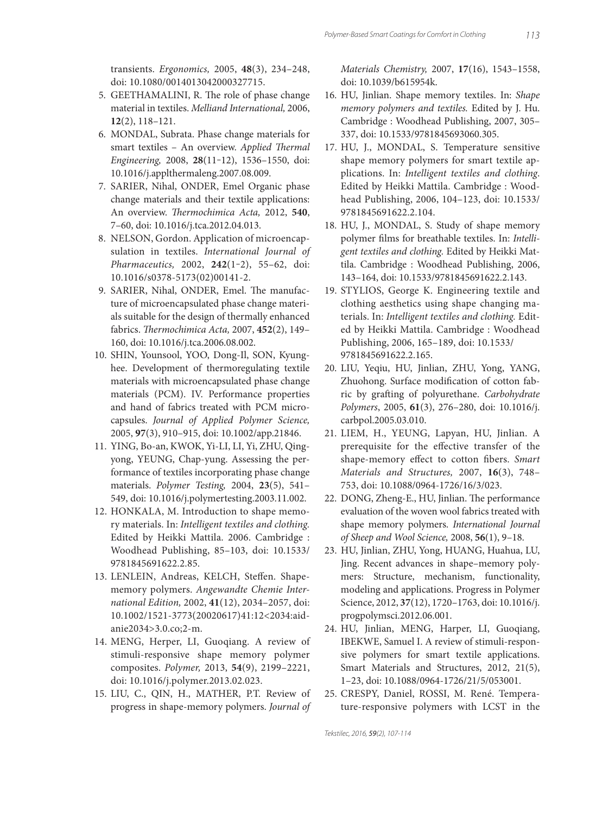transients. Ergonomics, 2005, **48**(3), 234–248, doi: 10.1080/0014013042000327715.

- 5. GEETHAMALINI, R. The role of phase change material in textiles. Melliand International, 2006, **12**(2), 118–121.
- 6. MONDAL, Subrata. Phase change materials for smart textiles - An overview. Applied Thermal Engineering, 2008, **28**(11‒12), 1536–1550, doi: 10.1016/j.applthermaleng.2007.08.009.
- 7. SARIER, Nihal, ONDER, Emel Organic phase change materials and their textile applications: An overview. Thermochimica Acta, 2012, 540, 7–60, doi: 10.1016/j.tca.2012.04.013.
- 8. NELSON, Gordon. Application of microencapsulation in textiles. International Journal of Pharmaceutics, 2002, **242**(1‒2), 55–62, doi: 10.1016/s0378-5173(02)00141-2.
- 9. SARIER, Nihal, ONDER, Emel. The manufacture of microencapsulated phase change materials suitable for the design of thermally enhanced fabrics. Thermochimica Acta, 2007, 452(2), 149-160, doi: 10.1016/j.tca.2006.08.002.
- 10. SHIN, Younsool, YOO, Dong-Il, SON, Kyunghee. Development of thermoregulating textile materials with microencapsulated phase change materials (PCM). IV. Performance properties and hand of fabrics treated with PCM microcapsules. Journal of Applied Polymer Science, 2005, **97**(3), 910–915, doi: 10.1002/app.21846.
- 11. YING, Bo-an, KWOK, Yi-LI, LI, Yi, ZHU, Qingyong, YEUNG, Chap-yung. Assessing the performance of textiles incorporating phase change materials. Polymer Testing, 2004, **23**(5), 541– 549, doi: 10.1016/j.polymertesting.2003.11.002.
- 12. HONKALA, M. Introduction to shape memory materials. In: Intelligent textiles and clothing. Edited by Heikki Mattila. 2006. Cambridge : Woodhead Publishing, 85–103, doi: 10.1533/ 9781845691622.2.85.
- 13. LENLEIN, Andreas, KELCH, Steffen. Shapememory polymers. Angewandte Chemie International Edition, 2002, **41**(12), 2034–2057, doi: 10.1002/1521-3773(20020617)41:12<2034:aidanie2034>3.0.co;2-m.
- 14. MENG, Herper, LI, Guoqiang. A review of stimuli-responsive shape memory polymer composites. Polymer, 2013, **54**(9), 2199–2221, doi: 10.1016/j.polymer.2013.02.023.
- 15. LIU, C., QIN, H., MATHER, P.T. Review of progress in shape-memory polymers. Journal of

Materials Chemistry, 2007, **17**(16), 1543–1558, doi: 10.1039/b615954k.

- 16. HU, Jinlian. Shape memory textiles. In: Shape memory polymers and textiles. Edited by J. Hu. Cambridge : Woodhead Publishing, 2007, 305– 337, doi: 10.1533/9781845693060.305.
- 17. HU, J., MONDAL, S. Temperature sensitive shape memory polymers for smart textile applications. In: Intelligent textiles and clothing. Edited by Heikki Mattila. Cambridge : Woodhead Publishing, 2006, 104–123, doi: 10.1533/ 9781845691622.2.104.
- 18. HU, J., MONDAL, S. Study of shape memory polymer films for breathable textiles. In: Intelligent textiles and clothing. Edited by Heikki Mattila. Cambridge : Woodhead Publishing, 2006, 143–164, doi: 10.1533/9781845691622.2.143.
- 19. STYLIOS, George K. Engineering textile and clothing aesthetics using shape changing materials. In: Intelligent textiles and clothing. Edited by Heikki Mattila. Cambridge : Woodhead Publishing, 2006, 165–189, doi: 10.1533/ 9781845691622.2.165.
- 20. LIU, Yeqiu, HU, Jinlian, ZHU, Yong, YANG, Zhuohong. Surface modification of cotton fabric by grafting of polyurethane. Carbohydrate Polymers, 2005, **61**(3), 276–280, doi: 10.1016/j. carbpol.2005.03.010.
- 21. LIEM, H., YEUNG, Lapyan, HU, Jinlian. A prerequisite for the effective transfer of the shape-memory effect to cotton fibers. Smart Materials and Structures, 2007, **16**(3), 748– 753, doi: 10.1088/0964-1726/16/3/023.
- 22. DONG, Zheng-E., HU, Jinlian. The performance evaluation of the woven wool fabrics treated with shape memory polymers. International Journal of Sheep and Wool Science, 2008, **56**(1), 9–18.
- 23. HU, Jinlian, ZHU, Yong, HUANG, Huahua, LU, Jing. Recent advances in shape–memory polymers: Structure, mechanism, functionality, modeling and applications. Progress in Polymer Science, 2012, **37**(12), 1720–1763, doi: 10.1016/j. progpolymsci.2012.06.001.
- 24. HU, Jinlian, MENG, Harper, LI, Guoqiang, IBEKWE, Samuel I. A review of stimuli-responsive polymers for smart textile applications. Smart Materials and Structures, 2012, 21(5), 1–23, doi: 10.1088/0964-1726/21/5/053001.
- 25. CRESPY, Daniel, ROSSI, M. René. Temperature-responsive polymers with LCST in the